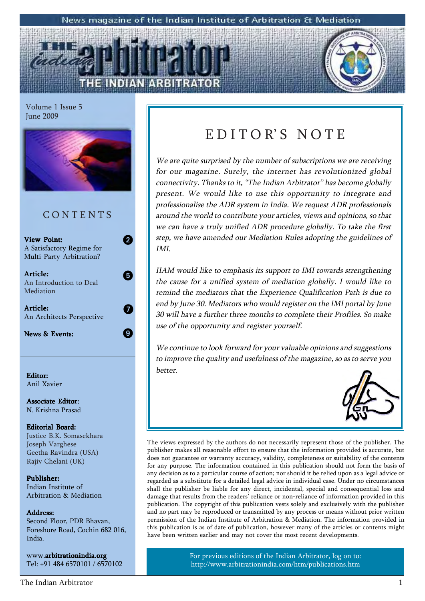### News magazine of the Indian Institute of Arbitration & Mediation

Volume 1 Issue 5 June 2009



### **CONTENTS**

2

5

 $\bm{Q}$ 

0

View Point: A Satisfactory Regime for Multi-Party Arbitration?

Article: An Introduction to Deal Mediation

Article: An Architects Perspective

News & Events:

Editor: Anil Xavier

Associate Editor: N. Krishna Prasad

### Editorial Board: Justice B.K. Somasekhara Joseph Varghese Geetha Ravindra (USA) Rajiv Chelani (UK)

Publisher: Indian Institute of Arbitration & Mediation

### Address: Address:

Second Floor, PDR Bhavan, Foreshore Road, Cochin 682 016, India.

www.arbitrationindia.org Tel: +91 484 6570101 / 6570102

## EDITOR'S NOTE

We are quite surprised by the number of subscriptions we are receiving for our magazine. Surely, the internet has revolutionized global connectivity. Thanks to it, "The Indian Arbitrator" has become globally present. We would like to use this opportunity to integrate and professionalise the ADR system in India. We request ADR professionals around the world to contribute your articles, views and opinions, so that we can have a truly unified ADR procedure globally. To take the first step, we have amended our Mediation Rules adopting the guidelines of IMI.

IIAM would like to emphasis its support to IMI towards strengthening the cause for a unified system of mediation globally. I would like to remind the mediators that the Experience Qualification Path is due to end by June 30. Mediators who would register on the IMI portal by June 30 will have a further three months to complete their Profiles. So make use of the opportunity and register yourself.

We continue to look forward for your valuable opinions and suggestions to improve the quality and usefulness of the magazine, so as to serve you better.



The views expressed by the authors do not necessarily represent those of the publisher. The publisher makes all reasonable effort to ensure that the information provided is accurate, but does not guarantee or warranty accuracy, validity, completeness or suitability of the contents for any purpose. The information contained in this publication should not form the basis of any decision as to a particular course of action; nor should it be relied upon as a legal advice or regarded as a substitute for a detailed legal advice in individual case. Under no circumstances shall the publisher be liable for any direct, incidental, special and consequential loss and damage that results from the readers' reliance or non-reliance of information provided in this publication. The copyright of this publication vests solely and exclusively with the publisher and no part may be reproduced or transmitted by any process or means without prior written permission of the Indian Institute of Arbitration & Mediation. The information provided in this publication is as of date of publication, however many of the articles or contents might have been written earlier and may not cover the most recent developments.

> For previous editions of the Indian Arbitrator, log on to: http://www.arbitrationindia.com/htm/publications.htm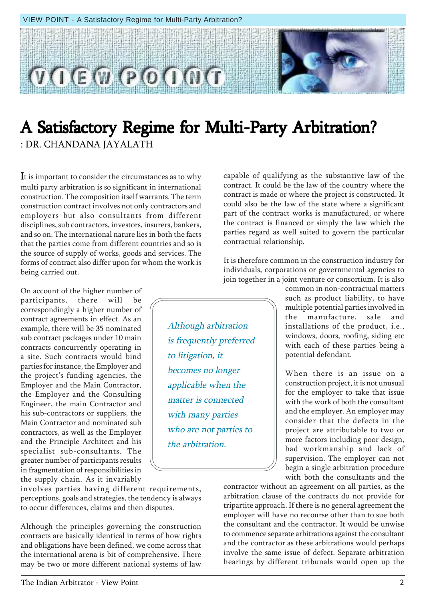$P<sub>0</sub>$ 

## A Satisfactory Regime for Multi-Party Arbitration? : DR. CHANDANA JAYALATH

Although arbitration

to litigation, it

becomes no longer

applicable when the matter is connected

with many parties

the arbitration.

who are not parties to

is frequently preferred

It is important to consider the circumstances as to why multi party arbitration is so significant in international construction. The composition itself warrants. The term construction contract involves not only contractors and employers but also consultants from different disciplines, sub contractors, investors, insurers, bankers, and so on. The international nature lies in both the facts that the parties come from different countries and so is the source of supply of works, goods and services. The forms of contract also differ upon for whom the work is being carried out.

On account of the higher number of participants, there will be correspondingly a higher number of contract agreements in effect. As an example, there will be 35 nominated sub contract packages under 10 main contracts concurrently operating in a site. Such contracts would bind parties for instance, the Employer and the project's funding agencies, the Employer and the Main Contractor, the Employer and the Consulting Engineer, the main Contractor and his sub-contractors or suppliers, the Main Contractor and nominated sub contractors, as well as the Employer and the Principle Architect and his specialist sub-consultants. The greater number of participants results in fragmentation of responsibilities in the supply chain. As it invariably

involves parties having different requirements, perceptions, goals and strategies, the tendency is always to occur differences, claims and then disputes.

Although the principles governing the construction contracts are basically identical in terms of how rights and obligations have been defined, we come across that the international arena is bit of comprehensive. There may be two or more different national systems of law

capable of qualifying as the substantive law of the contract. It could be the law of the country where the contract is made or where the project is constructed. It could also be the law of the state where a significant part of the contract works is manufactured, or where the contract is financed or simply the law which the parties regard as well suited to govern the particular contractual relationship.

It is therefore common in the construction industry for individuals, corporations or governmental agencies to join together in a joint venture or consortium. It is also

common in non-contractual matters such as product liability, to have multiple potential parties involved in the manufacture, sale and installations of the product, i.e., windows, doors, roofing, siding etc with each of these parties being a potential defendant.

When there is an issue on a construction project, it is not unusual for the employer to take that issue with the work of both the consultant and the employer. An employer may consider that the defects in the project are attributable to two or more factors including poor design, bad workmanship and lack of supervision. The employer can not begin a single arbitration procedure with both the consultants and the

contractor without an agreement on all parties, as the arbitration clause of the contracts do not provide for tripartite approach. If there is no general agreement the employer will have no recourse other than to sue both the consultant and the contractor. It would be unwise to commence separate arbitrations against the consultant and the contractor as these arbitrations would perhaps involve the same issue of defect. Separate arbitration hearings by different tribunals would open up the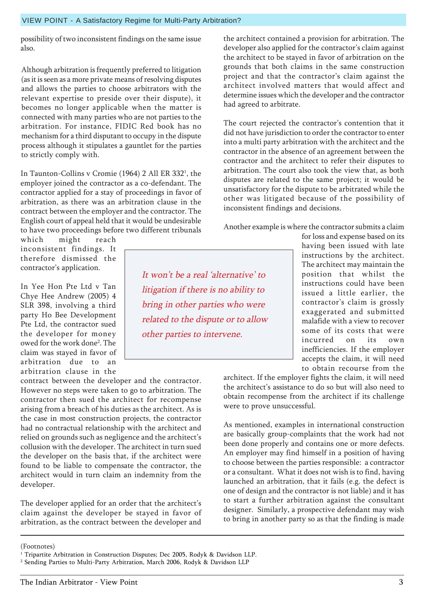owed for the work done<sup>2</sup>. The claim was stayed in favor of

VIEW POINT - A Satisfactory Regime for Multi-Party Arbitration?

possibility of two inconsistent findings on the same issue also.

Although arbitration is frequently preferred to litigation (as it is seen as a more private means of resolving disputes and allows the parties to choose arbitrators with the relevant expertise to preside over their dispute), it becomes no longer applicable when the matter is connected with many parties who are not parties to the arbitration. For instance, FIDIC Red book has no mechanism for a third disputant to occupy in the dispute process although it stipulates a gauntlet for the parties to strictly comply with.

In Taunton-Collins v Cromie (1964) 2 All ER 332<sup>1</sup>, the employer joined the contractor as a co-defendant. The contractor applied for a stay of proceedings in favor of arbitration, as there was an arbitration clause in the contract between the employer and the contractor. The English court of appeal held that it would be undesirable to have two proceedings before two different tribunals

which might reach inconsistent findings. It therefore dismissed the contractor's application.

In Yee Hon Pte Ltd v Tan Chye Hee Andrew (2005) 4 SLR 398, involving a third party Ho Bee Development

arbitration due to an arbitration clause in the contract between the developer and the contractor. However no steps were taken to go to arbitration. The contractor then sued the architect for recompense arising from a breach of his duties as the architect. As is the case in most construction projects, the contractor had no contractual relationship with the architect and relied on grounds such as negligence and the architect's collusion with the developer. The architect in turn sued the developer on the basis that, if the architect were found to be liable to compensate the contractor, the architect would in turn claim an indemnity from the developer.

The developer applied for an order that the architect's claim against the developer be stayed in favor of arbitration, as the contract between the developer and

the architect contained a provision for arbitration. The developer also applied for the contractor's claim against the architect to be stayed in favor of arbitration on the grounds that both claims in the same construction project and that the contractor's claim against the architect involved matters that would affect and determine issues which the developer and the contractor had agreed to arbitrate.

The court rejected the contractor's contention that it did not have jurisdiction to order the contractor to enter into a multi party arbitration with the architect and the contractor in the absence of an agreement between the contractor and the architect to refer their disputes to arbitration. The court also took the view that, as both disputes are related to the same project; it would be unsatisfactory for the dispute to be arbitrated while the other was litigated because of the possibility of inconsistent findings and decisions.

Another example is where the contractor submits a claim

It won't be a real 'alternative' to litigation if there is no ability to bring in other parties who were related to the dispute or to allow other parties to intervene.

for loss and expense based on its having been issued with late instructions by the architect. The architect may maintain the position that whilst the instructions could have been issued a little earlier, the contractor's claim is grossly exaggerated and submitted malafide with a view to recover some of its costs that were incurred on its own inefficiencies. If the employer accepts the claim, it will need to obtain recourse from the

architect. If the employer fights the claim, it will need the architect's assistance to do so but will also need to obtain recompense from the architect if its challenge were to prove unsuccessful.

As mentioned, examples in international construction are basically group-complaints that the work had not been done properly and contains one or more defects. An employer may find himself in a position of having to choose between the parties responsible: a contractor or a consultant. What it does not wish is to find, having launched an arbitration, that it fails (e.g. the defect is one of design and the contractor is not liable) and it has to start a further arbitration against the consultant designer. Similarly, a prospective defendant may wish to bring in another party so as that the finding is made

<sup>(</sup>Footnotes)

<sup>&</sup>lt;sup>1</sup> Tripartite Arbitration in Construction Disputes; Dec 2005, Rodyk & Davidson LLP.

<sup>2</sup> Sending Parties to Multi-Party Arbitration, March 2006, Rodyk & Davidson LLP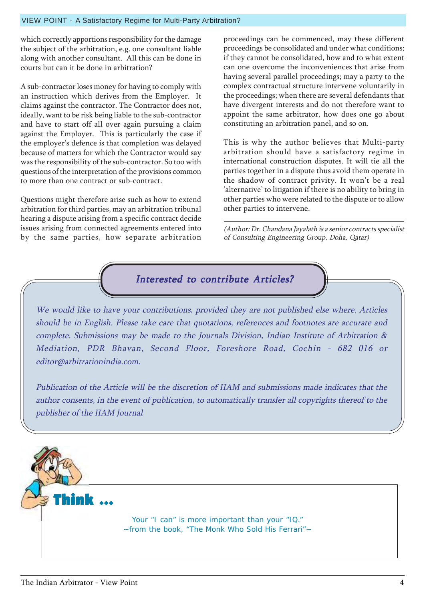### VIEW POINT - A Satisfactory Regime for Multi-Party Arbitration?

which correctly apportions responsibility for the damage the subject of the arbitration, e.g. one consultant liable along with another consultant. All this can be done in courts but can it be done in arbitration?

A sub-contractor loses money for having to comply with an instruction which derives from the Employer. It claims against the contractor. The Contractor does not, ideally, want to be risk being liable to the sub-contractor and have to start off all over again pursuing a claim against the Employer. This is particularly the case if the employer's defence is that completion was delayed because of matters for which the Contractor would say was the responsibility of the sub-contractor. So too with questions of the interpretation of the provisions common to more than one contract or sub-contract.

Questions might therefore arise such as how to extend arbitration for third parties, may an arbitration tribunal hearing a dispute arising from a specific contract decide issues arising from connected agreements entered into by the same parties, how separate arbitration

proceedings can be commenced, may these different proceedings be consolidated and under what conditions; if they cannot be consolidated, how and to what extent can one overcome the inconveniences that arise from having several parallel proceedings; may a party to the complex contractual structure intervene voluntarily in the proceedings; when there are several defendants that have divergent interests and do not therefore want to appoint the same arbitrator, how does one go about constituting an arbitration panel, and so on.

This is why the author believes that Multi-party arbitration should have a satisfactory regime in international construction disputes. It will tie all the parties together in a dispute thus avoid them operate in the shadow of contract privity. It won't be a real 'alternative' to litigation if there is no ability to bring in other parties who were related to the dispute or to allow other parties to intervene.

(Author: Dr. Chandana Jayalath is a senior contracts specialist of Consulting Engineering Group, Doha, Qatar)



We would like to have your contributions, provided they are not published else where. Articles should be in English. Please take care that quotations, references and footnotes are accurate and complete. Submissions may be made to the Journals Division, Indian Institute of Arbitration & Mediation, PDR Bhavan, Second Floor, Foreshore Road, Cochin - 682 016 or editor@arbitrationindia.com.

Publication of the Article will be the discretion of IIAM and submissions made indicates that the author consents, in the event of publication, to automatically transfer all copyrights thereof to the publisher of the IIAM Journal

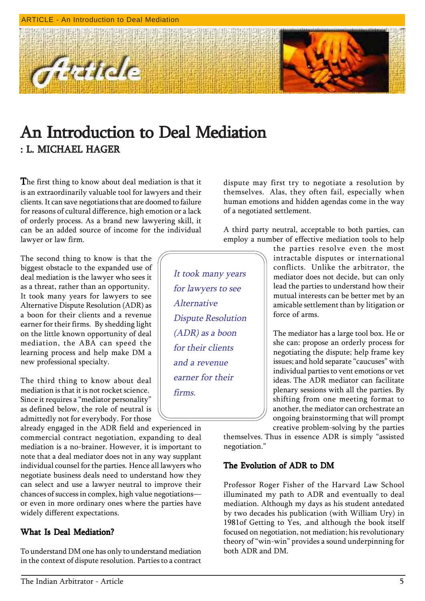

## An Introduction to Deal Mediation : L. MICHAEL HAGER

The first thing to know about deal mediation is that it is an extraordinarily valuable tool for lawyers and their clients. It can save negotiations that are doomed to failure for reasons of cultural difference, high emotion or a lack of orderly process. As a brand new lawyering skill, it can be an added source of income for the individual lawyer or law firm.

The second thing to know is that the biggest obstacle to the expanded use of deal mediation is the lawyer who sees it as a threat, rather than an opportunity. It took many years for lawyers to see Alternative Dispute Resolution (ADR) as a boon for their clients and a revenue earner for their firms. By shedding light on the little known opportunity of deal mediation, the ABA can speed the learning process and help make DM a new professional specialty.

The third thing to know about deal mediation is that it is not rocket science. Since it requires a "mediator personality" as defined below, the role of neutral is admittedly not for everybody. For those

already engaged in the ADR field and experienced in commercial contract negotiation, expanding to deal mediation is a no-brainer. However, it is important to note that a deal mediator does not in any way supplant individual counsel for the parties. Hence all lawyers who negotiate business deals need to understand how they can select and use a lawyer neutral to improve their chances of success in complex, high value negotiationsor even in more ordinary ones where the parties have widely different expectations.

### What Is Deal Mediation?

To understand DM one has only to understand mediation in the context of dispute resolution. Parties to a contract dispute may first try to negotiate a resolution by themselves. Alas, they often fail, especially when human emotions and hidden agendas come in the way of a negotiated settlement.

A third party neutral, acceptable to both parties, can employ a number of effective mediation tools to help

It took many years for lawyers to see Alternative Dispute Resolution (ADR) as a boon for their clients and a revenue earner for their firms.

the parties resolve even the most intractable disputes or international conflicts. Unlike the arbitrator, the mediator does not decide, but can only lead the parties to understand how their mutual interests can be better met by an amicable settlement than by litigation or force of arms.

The mediator has a large tool box. He or she can: propose an orderly process for negotiating the dispute; help frame key issues; and hold separate "caucuses" with individual parties to vent emotions or vet ideas. The ADR mediator can facilitate plenary sessions with all the parties. By shifting from one meeting format to another, the mediator can orchestrate an ongoing brainstorming that will prompt creative problem-solving by the parties

themselves. Thus in essence ADR is simply "assisted negotiation."

### The Evolution of ADR to DM

Professor Roger Fisher of the Harvard Law School illuminated my path to ADR and eventually to deal mediation. Although my days as his student antedated by two decades his publication (with William Ury) in 1981of Getting to Yes, .and although the book itself focused on negotiation, not mediation; his revolutionary theory of "win-win" provides a sound underpinning for both ADR and DM.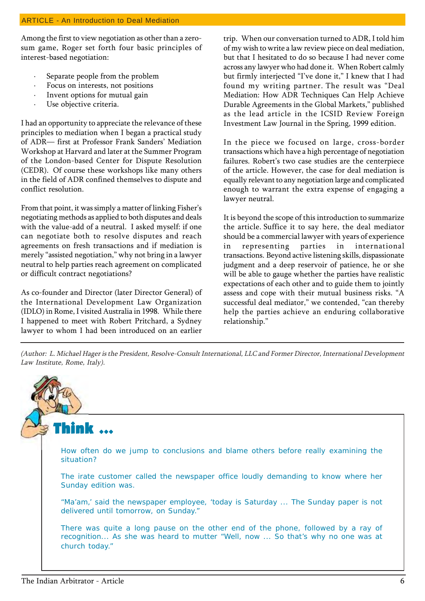Among the first to view negotiation as other than a zerosum game, Roger set forth four basic principles of interest-based negotiation:

- Separate people from the problem
- Focus on interests, not positions
- Invent options for mutual gain
- Use objective criteria.

I had an opportunity to appreciate the relevance of these principles to mediation when I began a practical study of ADR- first at Professor Frank Sanders' Mediation Workshop at Harvard and later at the Summer Program of the London-based Center for Dispute Resolution (CEDR). Of course these workshops like many others in the field of ADR confined themselves to dispute and conflict resolution.

From that point, it was simply a matter of linking Fisher's negotiating methods as applied to both disputes and deals with the value-add of a neutral. I asked myself: if one can negotiate both to resolve disputes and reach agreements on fresh transactions and if mediation is merely "assisted negotiation," why not bring in a lawyer neutral to help parties reach agreement on complicated or difficult contract negotiations?

As co-founder and Director (later Director General) of the International Development Law Organization (IDLO) in Rome, I visited Australia in 1998. While there I happened to meet with Robert Pritchard, a Sydney lawyer to whom I had been introduced on an earlier

trip. When our conversation turned to ADR, I told him of my wish to write a law review piece on deal mediation, but that I hesitated to do so because I had never come across any lawyer who had done it. When Robert calmly but firmly interjected "I've done it," I knew that I had found my writing partner. The result was "Deal Mediation: How ADR Techniques Can Help Achieve Durable Agreements in the Global Markets," published as the lead article in the ICSID Review Foreign Investment Law Journal in the Spring, 1999 edition.

In the piece we focused on large, cross-border transactions which have a high percentage of negotiation failures. Robert's two case studies are the centerpiece of the article. However, the case for deal mediation is equally relevant to any negotiation large and complicated enough to warrant the extra expense of engaging a lawyer neutral.

It is beyond the scope of this introduction to summarize the article. Suffice it to say here, the deal mediator should be a commercial lawyer with years of experience in representing parties in international transactions. Beyond active listening skills, dispassionate judgment and a deep reservoir of patience, he or she will be able to gauge whether the parties have realistic expectations of each other and to guide them to jointly assess and cope with their mutual business risks. "A successful deal mediator," we contended, "can thereby help the parties achieve an enduring collaborative relationship."

(Author: L. Michael Hager is the President, Resolve-Consult International, LLC and Former Director, International Development Law Institute, Rome, Italy).

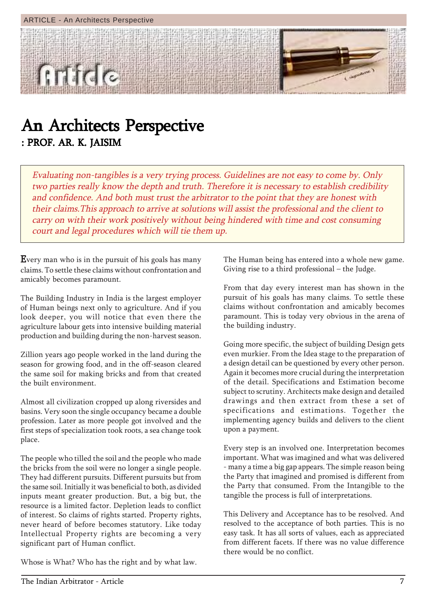

## An Architects Perspective : PROF. AR. K. JAISIM

Evaluating non-tangibles is a very trying process. Guidelines are not easy to come by. Only two parties really know the depth and truth. Therefore it is necessary to establish credibility and confidence. And both must trust the arbitrator to the point that they are honest with their claims.This approach to arrive at solutions will assist the professional and the client to carry on with their work positively without being hindered with time and cost consuming court and legal procedures which will tie them up.

**Every man who is in the pursuit of his goals has many** claims. To settle these claims without confrontation and amicably becomes paramount.

The Building Industry in India is the largest employer of Human beings next only to agriculture. And if you look deeper, you will notice that even there the agriculture labour gets into intensive building material production and building during the non-harvest season.

Zillion years ago people worked in the land during the season for growing food, and in the off-season cleared the same soil for making bricks and from that created the built environment.

Almost all civilization cropped up along riversides and basins. Very soon the single occupancy became a double profession. Later as more people got involved and the first steps of specialization took roots, a sea change took place.

The people who tilled the soil and the people who made the bricks from the soil were no longer a single people. They had different pursuits. Different pursuits but from the same soil. Initially it was beneficial to both, as divided inputs meant greater production. But, a big but, the resource is a limited factor. Depletion leads to conflict of interest. So claims of rights started. Property rights, never heard of before becomes statutory. Like today Intellectual Property rights are becoming a very significant part of Human conflict.

Whose is What? Who has the right and by what law.

The Human being has entered into a whole new game. Giving rise to a third professional  $-$  the Judge.

From that day every interest man has shown in the pursuit of his goals has many claims. To settle these claims without confrontation and amicably becomes paramount. This is today very obvious in the arena of the building industry.

Going more specific, the subject of building Design gets even murkier. From the Idea stage to the preparation of a design detail can be questioned by every other person. Again it becomes more crucial during the interpretation of the detail. Specifications and Estimation become subject to scrutiny. Architects make design and detailed drawings and then extract from these a set of specifications and estimations. Together the implementing agency builds and delivers to the client upon a payment.

Every step is an involved one. Interpretation becomes important. What was imagined and what was delivered - many a time a big gap appears. The simple reason being the Party that imagined and promised is different from the Party that consumed. From the Intangible to the tangible the process is full of interpretations.

This Delivery and Acceptance has to be resolved. And resolved to the acceptance of both parties. This is no easy task. It has all sorts of values, each as appreciated from different facets. If there was no value difference there would be no conflict.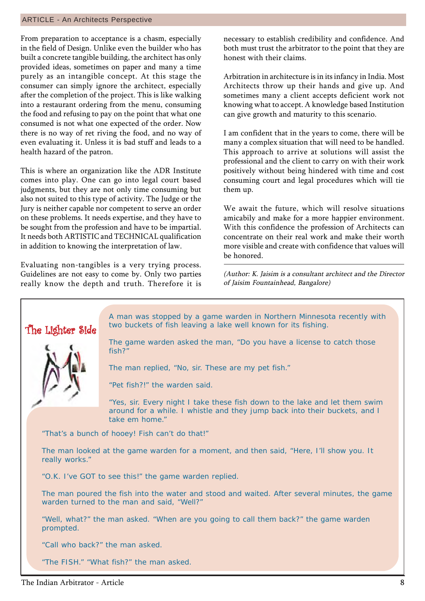### ARTICLE - An Architects Perspective

From preparation to acceptance is a chasm, especially in the field of Design. Unlike even the builder who has built a concrete tangible building, the architect has only provided ideas, sometimes on paper and many a time purely as an intangible concept. At this stage the consumer can simply ignore the architect, especially after the completion of the project. This is like walking into a restaurant ordering from the menu, consuming the food and refusing to pay on the point that what one consumed is not what one expected of the order. Now there is no way of ret riving the food, and no way of even evaluating it. Unless it is bad stuff and leads to a health hazard of the patron.

This is where an organization like the ADR Institute comes into play. One can go into legal court based judgments, but they are not only time consuming but also not suited to this type of activity. The Judge or the Jury is neither capable nor competent to serve an order on these problems. It needs expertise, and they have to be sought from the profession and have to be impartial. It needs both ARTISTIC and TECHNICAL qualification in addition to knowing the interpretation of law.

Evaluating non-tangibles is a very trying process. Guidelines are not easy to come by. Only two parties really know the depth and truth. Therefore it is necessary to establish credibility and confidence. And both must trust the arbitrator to the point that they are honest with their claims.

Arbitration in architecture is in its infancy in India. Most Architects throw up their hands and give up. And sometimes many a client accepts deficient work not knowing what to accept. A knowledge based Institution can give growth and maturity to this scenario.

I am confident that in the years to come, there will be many a complex situation that will need to be handled. This approach to arrive at solutions will assist the professional and the client to carry on with their work positively without being hindered with time and cost consuming court and legal procedures which will tie them up.

We await the future, which will resolve situations amicabily and make for a more happier environment. With this confidence the profession of Architects can concentrate on their real work and make their worth more visible and create with confidence that values will be honored.

(Author: K. Jaisim is a consultant architect and the Director of Jaisim Fountainhead, Bangalore)

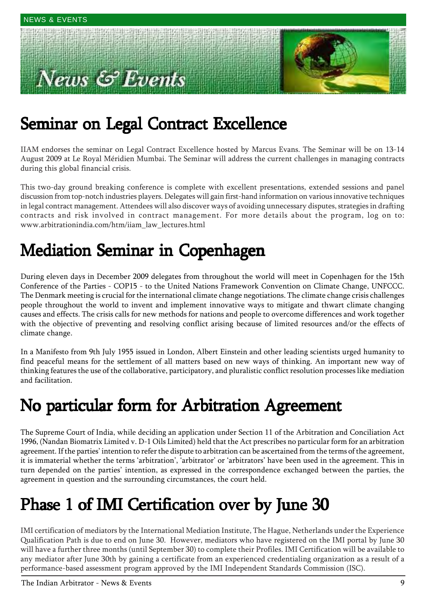# **ews & Events**



## Seminar on Legal Contract Excellence

IIAM endorses the seminar on Legal Contract Excellence hosted by Marcus Evans. The Seminar will be on 13-14 August 2009 at Le Royal MÈridien Mumbai. The Seminar will address the current challenges in managing contracts during this global financial crisis.

This two-day ground breaking conference is complete with excellent presentations, extended sessions and panel discussion from top-notch industries players. Delegates will gain first-hand information on various innovative techniques in legal contract management. Attendees will also discover ways of avoiding unnecessary disputes, strategies in drafting contracts and risk involved in contract management. For more details about the program, log on to: www.arbitrationindia.com/htm/iiam\_law\_lectures.html

## Mediation Seminar in Copenhagen Mediation Seminar in Copenhagen

During eleven days in December 2009 delegates from throughout the world will meet in Copenhagen for the 15th Conference of the Parties - COP15 - to the United Nations Framework Convention on Climate Change, UNFCCC. The Denmark meeting is crucial for the international climate change negotiations. The climate change crisis challenges people throughout the world to invent and implement innovative ways to mitigate and thwart climate changing causes and effects. The crisis calls for new methods for nations and people to overcome differences and work together with the objective of preventing and resolving conflict arising because of limited resources and/or the effects of climate change.

In a Manifesto from 9th July 1955 issued in London, Albert Einstein and other leading scientists urged humanity to find peaceful means for the settlement of all matters based on new ways of thinking. An important new way of thinking features the use of the collaborative, participatory, and pluralistic conflict resolution processes like mediation and facilitation.

## No particular form for Arbitration Agreement

The Supreme Court of India, while deciding an application under Section 11 of the Arbitration and Conciliation Act 1996, (Nandan Biomatrix Limited v. D-1 Oils Limited) held that the Act prescribes no particular form for an arbitration agreement. If the parties' intention to refer the dispute to arbitration can be ascertained from the terms of the agreement, it is immaterial whether the terms 'arbitration', 'arbitrator' or 'arbitrators' have been used in the agreement. This in turn depended on the partiesí intention, as expressed in the correspondence exchanged between the parties, the agreement in question and the surrounding circumstances, the court held.

## Phase 1 of IMI Certification over by June 30

IMI certification of mediators by the International Mediation Institute, The Hague, Netherlands under the Experience Qualification Path is due to end on June 30. However, mediators who have registered on the IMI portal by June 30 will have a further three months (until September 30) to complete their Profiles. IMI Certification will be available to any mediator after June 30th by gaining a certificate from an experienced credentialing organization as a result of a performance-based assessment program approved by the IMI Independent Standards Commission (ISC).